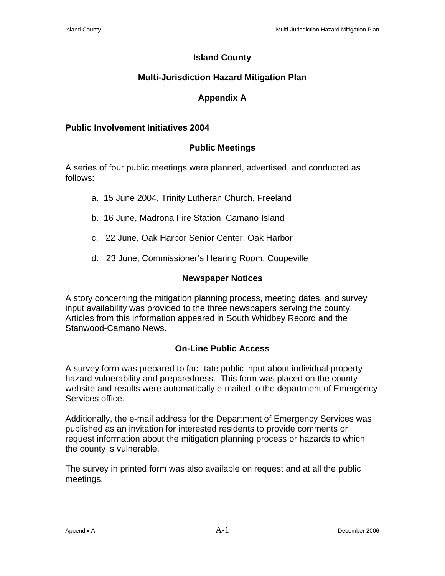## **Island County**

# **Multi-Jurisdiction Hazard Mitigation Plan**

## **Appendix A**

## **Public Involvement Initiatives 2004**

## **Public Meetings**

A series of four public meetings were planned, advertised, and conducted as follows:

- a. 15 June 2004, Trinity Lutheran Church, Freeland
- b. 16 June, Madrona Fire Station, Camano Island
- c. 22 June, Oak Harbor Senior Center, Oak Harbor
- d. 23 June, Commissioner's Hearing Room, Coupeville

## **Newspaper Notices**

A story concerning the mitigation planning process, meeting dates, and survey input availability was provided to the three newspapers serving the county. Articles from this information appeared in South Whidbey Record and the Stanwood-Camano News.

## **On-Line Public Access**

A survey form was prepared to facilitate public input about individual property hazard vulnerability and preparedness. This form was placed on the county website and results were automatically e-mailed to the department of Emergency Services office.

Additionally, the e-mail address for the Department of Emergency Services was published as an invitation for interested residents to provide comments or request information about the mitigation planning process or hazards to which the county is vulnerable.

The survey in printed form was also available on request and at all the public meetings.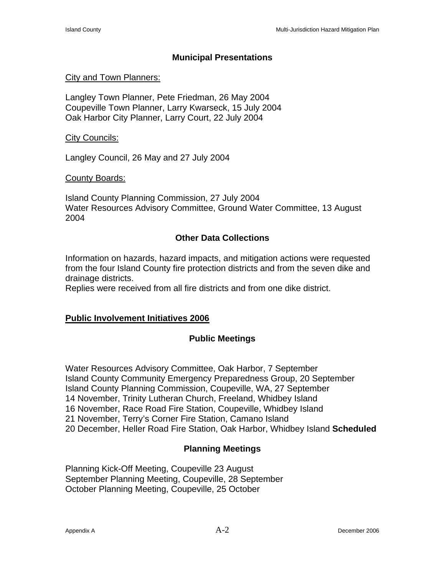## **Municipal Presentations**

### City and Town Planners:

Langley Town Planner, Pete Friedman, 26 May 2004 Coupeville Town Planner, Larry Kwarseck, 15 July 2004 Oak Harbor City Planner, Larry Court, 22 July 2004

#### City Councils:

Langley Council, 26 May and 27 July 2004

#### County Boards:

Island County Planning Commission, 27 July 2004 Water Resources Advisory Committee, Ground Water Committee, 13 August 2004

## **Other Data Collections**

Information on hazards, hazard impacts, and mitigation actions were requested from the four Island County fire protection districts and from the seven dike and drainage districts.

Replies were received from all fire districts and from one dike district.

## **Public Involvement Initiatives 2006**

## **Public Meetings**

Water Resources Advisory Committee, Oak Harbor, 7 September Island County Community Emergency Preparedness Group, 20 September Island County Planning Commission, Coupeville, WA, 27 September 14 November, Trinity Lutheran Church, Freeland, Whidbey Island 16 November, Race Road Fire Station, Coupeville, Whidbey Island 21 November, Terry's Corner Fire Station, Camano Island 20 December, Heller Road Fire Station, Oak Harbor, Whidbey Island **Scheduled** 

## **Planning Meetings**

Planning Kick-Off Meeting, Coupeville 23 August September Planning Meeting, Coupeville, 28 September October Planning Meeting, Coupeville, 25 October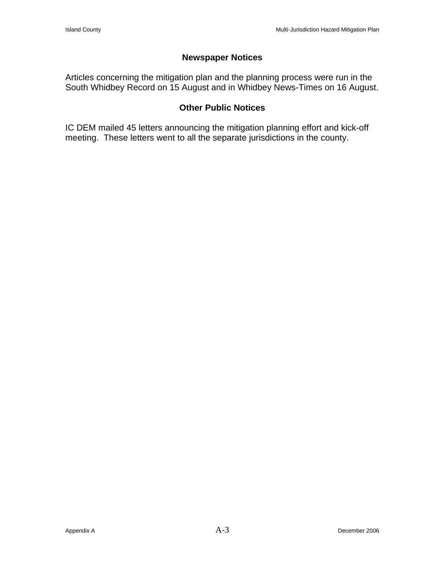## **Newspaper Notices**

Articles concerning the mitigation plan and the planning process were run in the South Whidbey Record on 15 August and in Whidbey News-Times on 16 August.

### **Other Public Notices**

IC DEM mailed 45 letters announcing the mitigation planning effort and kick-off meeting. These letters went to all the separate jurisdictions in the county.